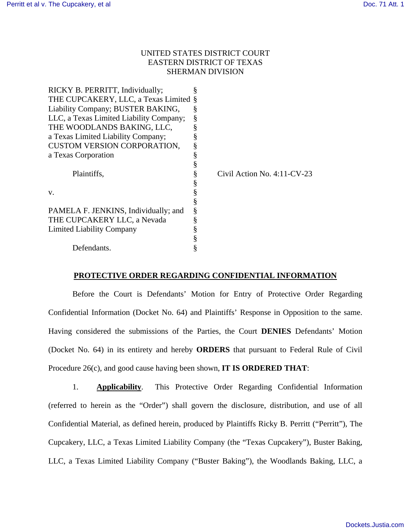## UNITED STATES DISTRICT COURT EASTERN DISTRICT OF TEXAS SHERMAN DIVISION

| RICKY B. PERRITT, Individually;         |   |                                |
|-----------------------------------------|---|--------------------------------|
| THE CUPCAKERY, LLC, a Texas Limited §   |   |                                |
| Liability Company; BUSTER BAKING,       | Š |                                |
| LLC, a Texas Limited Liability Company; | § |                                |
| THE WOODLANDS BAKING, LLC,              |   |                                |
| a Texas Limited Liability Company;      |   |                                |
| <b>CUSTOM VERSION CORPORATION,</b>      |   |                                |
| a Texas Corporation                     |   |                                |
|                                         |   |                                |
| Plaintiffs,                             |   | Civil Action No. $4:11$ -CV-23 |
|                                         | § |                                |
| V.                                      | § |                                |
|                                         |   |                                |
| PAMELA F. JENKINS, Individually; and    | § |                                |
| THE CUPCAKERY LLC, a Nevada             |   |                                |
| <b>Limited Liability Company</b>        |   |                                |
|                                         |   |                                |
| Defendants.                             |   |                                |

#### **PROTECTIVE ORDER REGARDING CONFIDENTIAL INFORMATION**

Before the Court is Defendants' Motion for Entry of Protective Order Regarding Confidential Information (Docket No. 64) and Plaintiffs' Response in Opposition to the same. Having considered the submissions of the Parties, the Court **DENIES** Defendants' Motion (Docket No. 64) in its entirety and hereby **ORDERS** that pursuant to Federal Rule of Civil Procedure 26(c), and good cause having been shown, **IT IS ORDERED THAT**:

1. **Applicability**. This Protective Order Regarding Confidential Information (referred to herein as the "Order") shall govern the disclosure, distribution, and use of all Confidential Material, as defined herein, produced by Plaintiffs Ricky B. Perritt ("Perritt"), The Cupcakery, LLC, a Texas Limited Liability Company (the "Texas Cupcakery"), Buster Baking, LLC, a Texas Limited Liability Company ("Buster Baking"), the Woodlands Baking, LLC, a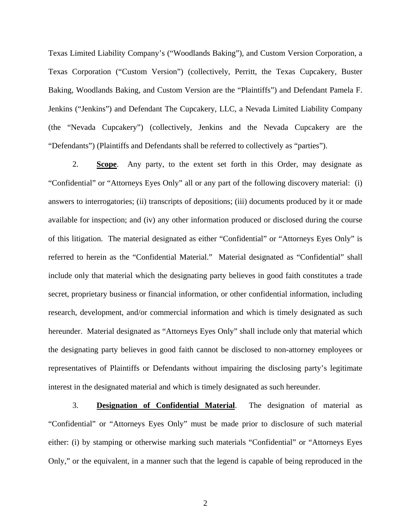Texas Limited Liability Company's ("Woodlands Baking"), and Custom Version Corporation, a Texas Corporation ("Custom Version") (collectively, Perritt, the Texas Cupcakery, Buster Baking, Woodlands Baking, and Custom Version are the "Plaintiffs") and Defendant Pamela F. Jenkins ("Jenkins") and Defendant The Cupcakery, LLC, a Nevada Limited Liability Company (the "Nevada Cupcakery") (collectively, Jenkins and the Nevada Cupcakery are the "Defendants") (Plaintiffs and Defendants shall be referred to collectively as "parties").

2. **Scope**. Any party, to the extent set forth in this Order, may designate as "Confidential" or "Attorneys Eyes Only" all or any part of the following discovery material: (i) answers to interrogatories; (ii) transcripts of depositions; (iii) documents produced by it or made available for inspection; and (iv) any other information produced or disclosed during the course of this litigation. The material designated as either "Confidential" or "Attorneys Eyes Only" is referred to herein as the "Confidential Material." Material designated as "Confidential" shall include only that material which the designating party believes in good faith constitutes a trade secret, proprietary business or financial information, or other confidential information, including research, development, and/or commercial information and which is timely designated as such hereunder. Material designated as "Attorneys Eyes Only" shall include only that material which the designating party believes in good faith cannot be disclosed to non-attorney employees or representatives of Plaintiffs or Defendants without impairing the disclosing party's legitimate interest in the designated material and which is timely designated as such hereunder.

3. **Designation of Confidential Material**. The designation of material as "Confidential" or "Attorneys Eyes Only" must be made prior to disclosure of such material either: (i) by stamping or otherwise marking such materials "Confidential" or "Attorneys Eyes Only," or the equivalent, in a manner such that the legend is capable of being reproduced in the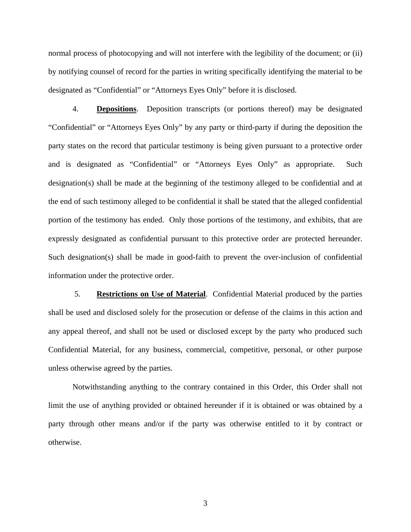normal process of photocopying and will not interfere with the legibility of the document; or (ii) by notifying counsel of record for the parties in writing specifically identifying the material to be designated as "Confidential" or "Attorneys Eyes Only" before it is disclosed.

4. **Depositions**. Deposition transcripts (or portions thereof) may be designated "Confidential" or "Attorneys Eyes Only" by any party or third-party if during the deposition the party states on the record that particular testimony is being given pursuant to a protective order and is designated as "Confidential" or "Attorneys Eyes Only" as appropriate. Such designation(s) shall be made at the beginning of the testimony alleged to be confidential and at the end of such testimony alleged to be confidential it shall be stated that the alleged confidential portion of the testimony has ended. Only those portions of the testimony, and exhibits, that are expressly designated as confidential pursuant to this protective order are protected hereunder. Such designation(s) shall be made in good-faith to prevent the over-inclusion of confidential information under the protective order.

 5. **Restrictions on Use of Material**. Confidential Material produced by the parties shall be used and disclosed solely for the prosecution or defense of the claims in this action and any appeal thereof, and shall not be used or disclosed except by the party who produced such Confidential Material, for any business, commercial, competitive, personal, or other purpose unless otherwise agreed by the parties.

Notwithstanding anything to the contrary contained in this Order, this Order shall not limit the use of anything provided or obtained hereunder if it is obtained or was obtained by a party through other means and/or if the party was otherwise entitled to it by contract or otherwise.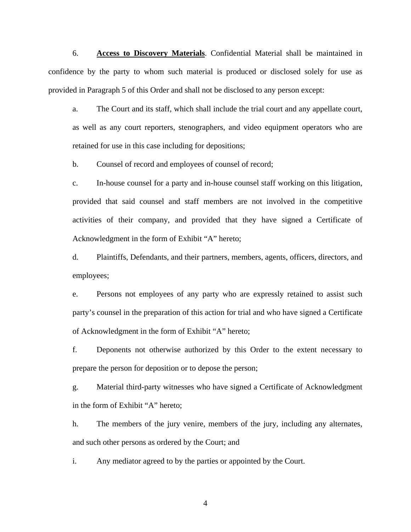6. **Access to Discovery Materials**. Confidential Material shall be maintained in confidence by the party to whom such material is produced or disclosed solely for use as provided in Paragraph 5 of this Order and shall not be disclosed to any person except:

a. The Court and its staff, which shall include the trial court and any appellate court, as well as any court reporters, stenographers, and video equipment operators who are retained for use in this case including for depositions;

b. Counsel of record and employees of counsel of record;

c. In-house counsel for a party and in-house counsel staff working on this litigation, provided that said counsel and staff members are not involved in the competitive activities of their company, and provided that they have signed a Certificate of Acknowledgment in the form of Exhibit "A" hereto;

d. Plaintiffs, Defendants, and their partners, members, agents, officers, directors, and employees;

e. Persons not employees of any party who are expressly retained to assist such party's counsel in the preparation of this action for trial and who have signed a Certificate of Acknowledgment in the form of Exhibit "A" hereto;

f. Deponents not otherwise authorized by this Order to the extent necessary to prepare the person for deposition or to depose the person;

g. Material third-party witnesses who have signed a Certificate of Acknowledgment in the form of Exhibit "A" hereto;

h. The members of the jury venire, members of the jury, including any alternates, and such other persons as ordered by the Court; and

i. Any mediator agreed to by the parties or appointed by the Court.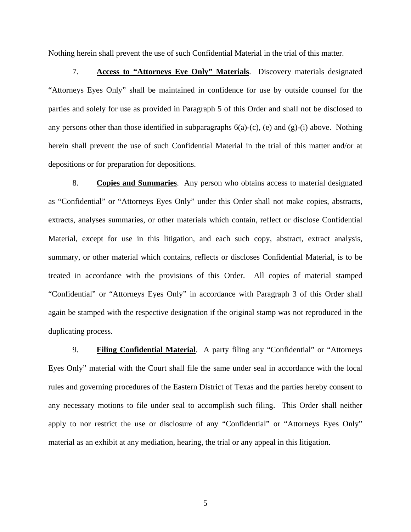Nothing herein shall prevent the use of such Confidential Material in the trial of this matter.

7. **Access to "Attorneys Eye Only" Materials**. Discovery materials designated "Attorneys Eyes Only" shall be maintained in confidence for use by outside counsel for the parties and solely for use as provided in Paragraph 5 of this Order and shall not be disclosed to any persons other than those identified in subparagraphs 6(a)-(c), (e) and (g)-(i) above. Nothing herein shall prevent the use of such Confidential Material in the trial of this matter and/or at depositions or for preparation for depositions.

8. **Copies and Summaries**. Any person who obtains access to material designated as "Confidential" or "Attorneys Eyes Only" under this Order shall not make copies, abstracts, extracts, analyses summaries, or other materials which contain, reflect or disclose Confidential Material, except for use in this litigation, and each such copy, abstract, extract analysis, summary, or other material which contains, reflects or discloses Confidential Material, is to be treated in accordance with the provisions of this Order. All copies of material stamped "Confidential" or "Attorneys Eyes Only" in accordance with Paragraph 3 of this Order shall again be stamped with the respective designation if the original stamp was not reproduced in the duplicating process.

9. **Filing Confidential Material**. A party filing any "Confidential" or "Attorneys Eyes Only" material with the Court shall file the same under seal in accordance with the local rules and governing procedures of the Eastern District of Texas and the parties hereby consent to any necessary motions to file under seal to accomplish such filing. This Order shall neither apply to nor restrict the use or disclosure of any "Confidential" or "Attorneys Eyes Only" material as an exhibit at any mediation, hearing, the trial or any appeal in this litigation.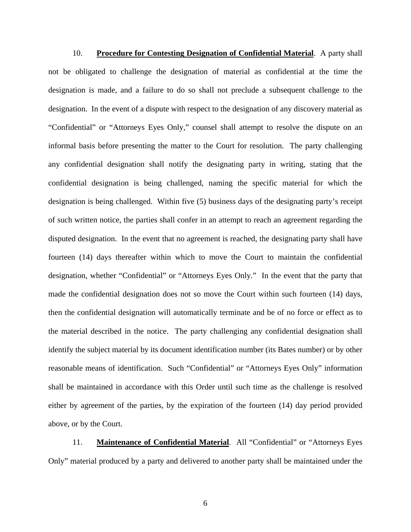10. **Procedure for Contesting Designation of Confidential Material**. A party shall not be obligated to challenge the designation of material as confidential at the time the designation is made, and a failure to do so shall not preclude a subsequent challenge to the designation. In the event of a dispute with respect to the designation of any discovery material as "Confidential" or "Attorneys Eyes Only," counsel shall attempt to resolve the dispute on an informal basis before presenting the matter to the Court for resolution. The party challenging any confidential designation shall notify the designating party in writing, stating that the confidential designation is being challenged, naming the specific material for which the designation is being challenged. Within five (5) business days of the designating party's receipt of such written notice, the parties shall confer in an attempt to reach an agreement regarding the disputed designation. In the event that no agreement is reached, the designating party shall have fourteen (14) days thereafter within which to move the Court to maintain the confidential designation, whether "Confidential" or "Attorneys Eyes Only." In the event that the party that made the confidential designation does not so move the Court within such fourteen (14) days, then the confidential designation will automatically terminate and be of no force or effect as to the material described in the notice. The party challenging any confidential designation shall identify the subject material by its document identification number (its Bates number) or by other reasonable means of identification. Such "Confidential" or "Attorneys Eyes Only" information shall be maintained in accordance with this Order until such time as the challenge is resolved either by agreement of the parties, by the expiration of the fourteen (14) day period provided above, or by the Court.

11. **Maintenance of Confidential Material**. All "Confidential" or "Attorneys Eyes Only" material produced by a party and delivered to another party shall be maintained under the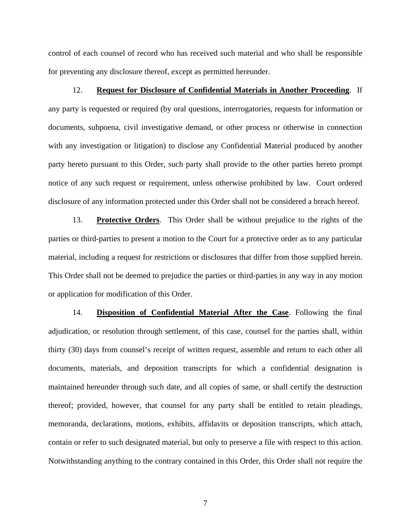control of each counsel of record who has received such material and who shall be responsible for preventing any disclosure thereof, except as permitted hereunder.

#### 12. **Request for Disclosure of Confidential Materials in Another Proceeding**. If

any party is requested or required (by oral questions, interrogatories, requests for information or documents, subpoena, civil investigative demand, or other process or otherwise in connection with any investigation or litigation) to disclose any Confidential Material produced by another party hereto pursuant to this Order, such party shall provide to the other parties hereto prompt notice of any such request or requirement, unless otherwise prohibited by law. Court ordered disclosure of any information protected under this Order shall not be considered a breach hereof.

13. **Protective Orders**. This Order shall be without prejudice to the rights of the parties or third-parties to present a motion to the Court for a protective order as to any particular material, including a request for restrictions or disclosures that differ from those supplied herein. This Order shall not be deemed to prejudice the parties or third-parties in any way in any motion or application for modification of this Order.

14. **Disposition of Confidential Material After the Case**. Following the final adjudication, or resolution through settlement, of this case, counsel for the parties shall, within thirty (30) days from counsel's receipt of written request, assemble and return to each other all documents, materials, and deposition transcripts for which a confidential designation is maintained hereunder through such date, and all copies of same, or shall certify the destruction thereof; provided, however, that counsel for any party shall be entitled to retain pleadings, memoranda, declarations, motions, exhibits, affidavits or deposition transcripts, which attach, contain or refer to such designated material, but only to preserve a file with respect to this action. Notwithstanding anything to the contrary contained in this Order, this Order shall not require the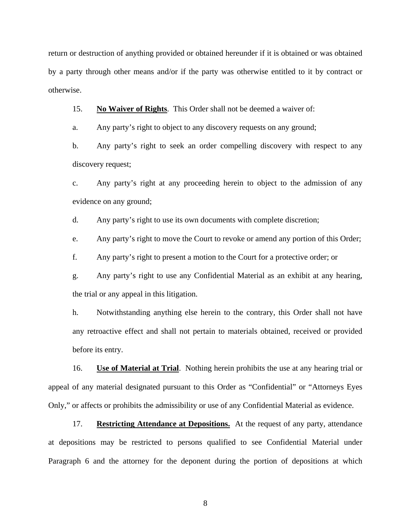return or destruction of anything provided or obtained hereunder if it is obtained or was obtained by a party through other means and/or if the party was otherwise entitled to it by contract or otherwise.

15. **No Waiver of Rights**. This Order shall not be deemed a waiver of:

a. Any party's right to object to any discovery requests on any ground;

b. Any party's right to seek an order compelling discovery with respect to any discovery request;

c. Any party's right at any proceeding herein to object to the admission of any evidence on any ground;

d. Any party's right to use its own documents with complete discretion;

e. Any party's right to move the Court to revoke or amend any portion of this Order;

f. Any party's right to present a motion to the Court for a protective order; or

g. Any party's right to use any Confidential Material as an exhibit at any hearing, the trial or any appeal in this litigation.

h. Notwithstanding anything else herein to the contrary, this Order shall not have any retroactive effect and shall not pertain to materials obtained, received or provided before its entry.

16. **Use of Material at Trial**. Nothing herein prohibits the use at any hearing trial or appeal of any material designated pursuant to this Order as "Confidential" or "Attorneys Eyes Only," or affects or prohibits the admissibility or use of any Confidential Material as evidence.

17. **Restricting Attendance at Depositions.** At the request of any party, attendance at depositions may be restricted to persons qualified to see Confidential Material under Paragraph 6 and the attorney for the deponent during the portion of depositions at which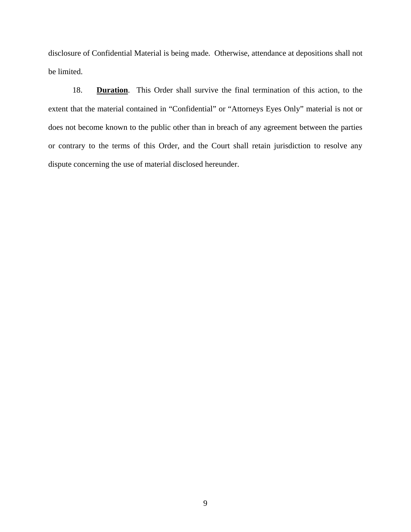disclosure of Confidential Material is being made. Otherwise, attendance at depositions shall not be limited.

18. **Duration**. This Order shall survive the final termination of this action, to the extent that the material contained in "Confidential" or "Attorneys Eyes Only" material is not or does not become known to the public other than in breach of any agreement between the parties or contrary to the terms of this Order, and the Court shall retain jurisdiction to resolve any dispute concerning the use of material disclosed hereunder.